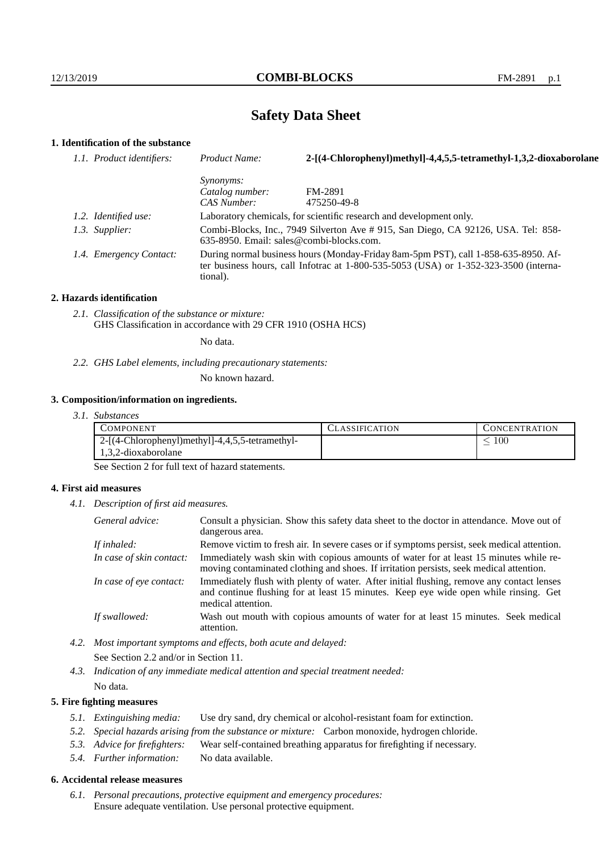# **Safety Data Sheet**

# **1. Identification of the substance**

| 1.1. Product identifiers: | Product Name:                                                                                                                                                                           | 2-[(4-Chlorophenyl)methyl]-4,4,5,5-tetramethyl-1,3,2-dioxaborolane |
|---------------------------|-----------------------------------------------------------------------------------------------------------------------------------------------------------------------------------------|--------------------------------------------------------------------|
|                           | <i>Synonyms:</i>                                                                                                                                                                        |                                                                    |
|                           | Catalog number:                                                                                                                                                                         | FM-2891                                                            |
|                           | CAS Number:                                                                                                                                                                             | 475250-49-8                                                        |
| 1.2. Identified use:      | Laboratory chemicals, for scientific research and development only.                                                                                                                     |                                                                    |
| 1.3. Supplier:            | Combi-Blocks, Inc., 7949 Silverton Ave # 915, San Diego, CA 92126, USA. Tel: 858-<br>$635-8950$ . Email: sales@combi-blocks.com.                                                        |                                                                    |
| 1.4. Emergency Contact:   | During normal business hours (Monday-Friday 8am-5pm PST), call 1-858-635-8950. Af-<br>ter business hours, call Infotrac at 1-800-535-5053 (USA) or 1-352-323-3500 (interna-<br>tional). |                                                                    |

#### **2. Hazards identification**

*2.1. Classification of the substance or mixture:* GHS Classification in accordance with 29 CFR 1910 (OSHA HCS)

No data.

*2.2. GHS Label elements, including precautionary statements:*

No known hazard.

## **3. Composition/information on ingredients.**

*3.1. Substances*

| COMPONENT                                       | CLASSIFICATION | <b>CONCENTRATION</b> |
|-------------------------------------------------|----------------|----------------------|
| 2-[(4-Chlorophenyl)methyl]-4,4,5,5-tetramethyl- |                | 100                  |
| 1,3,2-dioxaborolane                             |                |                      |

See Section 2 for full text of hazard statements.

## **4. First aid measures**

*4.1. Description of first aid measures.*

| General advice:          | Consult a physician. Show this safety data sheet to the doctor in attendance. Move out of<br>dangerous area.                                                                                            |  |
|--------------------------|---------------------------------------------------------------------------------------------------------------------------------------------------------------------------------------------------------|--|
| If inhaled:              | Remove victim to fresh air. In severe cases or if symptoms persist, seek medical attention.                                                                                                             |  |
| In case of skin contact: | Immediately wash skin with copious amounts of water for at least 15 minutes while re-<br>moving contaminated clothing and shoes. If irritation persists, seek medical attention.                        |  |
| In case of eye contact:  | Immediately flush with plenty of water. After initial flushing, remove any contact lenses<br>and continue flushing for at least 15 minutes. Keep eye wide open while rinsing. Get<br>medical attention. |  |
| If swallowed:            | Wash out mouth with copious amounts of water for at least 15 minutes. Seek medical<br>attention.                                                                                                        |  |

- *4.2. Most important symptoms and effects, both acute and delayed:* See Section 2.2 and/or in Section 11.
- *4.3. Indication of any immediate medical attention and special treatment needed:* No data.

## **5. Fire fighting measures**

- *5.1. Extinguishing media:* Use dry sand, dry chemical or alcohol-resistant foam for extinction.
- *5.2. Special hazards arising from the substance or mixture:* Carbon monoxide, hydrogen chloride.
- *5.3. Advice for firefighters:* Wear self-contained breathing apparatus for firefighting if necessary.
- *5.4. Further information:* No data available.

# **6. Accidental release measures**

*6.1. Personal precautions, protective equipment and emergency procedures:* Ensure adequate ventilation. Use personal protective equipment.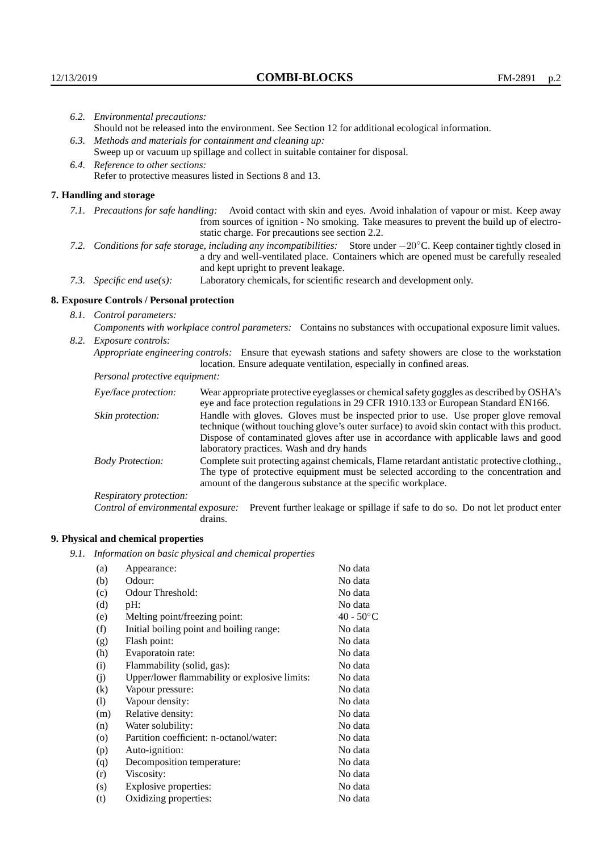|                                                                                                                        | 6.2. Environmental precautions:                                                                    |                                                                                                                                                                                                                                                                            |  |  |  |
|------------------------------------------------------------------------------------------------------------------------|----------------------------------------------------------------------------------------------------|----------------------------------------------------------------------------------------------------------------------------------------------------------------------------------------------------------------------------------------------------------------------------|--|--|--|
|                                                                                                                        | Should not be released into the environment. See Section 12 for additional ecological information. |                                                                                                                                                                                                                                                                            |  |  |  |
|                                                                                                                        | 6.3. Methods and materials for containment and cleaning up:                                        |                                                                                                                                                                                                                                                                            |  |  |  |
|                                                                                                                        | Sweep up or vacuum up spillage and collect in suitable container for disposal.                     |                                                                                                                                                                                                                                                                            |  |  |  |
| 6.4. Reference to other sections:                                                                                      |                                                                                                    |                                                                                                                                                                                                                                                                            |  |  |  |
|                                                                                                                        |                                                                                                    | Refer to protective measures listed in Sections 8 and 13.                                                                                                                                                                                                                  |  |  |  |
|                                                                                                                        | 7. Handling and storage                                                                            |                                                                                                                                                                                                                                                                            |  |  |  |
|                                                                                                                        |                                                                                                    | 7.1. Precautions for safe handling: Avoid contact with skin and eyes. Avoid inhalation of vapour or mist. Keep away<br>from sources of ignition - No smoking. Take measures to prevent the build up of electro-<br>static charge. For precautions see section 2.2.         |  |  |  |
| 7.2. Conditions for safe storage, including any incompatibilities: Store under -20°C. Keep container tightly closed in |                                                                                                    | a dry and well-ventilated place. Containers which are opened must be carefully resealed<br>and kept upright to prevent leakage.                                                                                                                                            |  |  |  |
|                                                                                                                        | 7.3. Specific end use(s):                                                                          | Laboratory chemicals, for scientific research and development only.                                                                                                                                                                                                        |  |  |  |
|                                                                                                                        | 8. Exposure Controls / Personal protection                                                         |                                                                                                                                                                                                                                                                            |  |  |  |
|                                                                                                                        | 8.1. Control parameters:                                                                           |                                                                                                                                                                                                                                                                            |  |  |  |
|                                                                                                                        |                                                                                                    | Components with workplace control parameters: Contains no substances with occupational exposure limit values.                                                                                                                                                              |  |  |  |
|                                                                                                                        | 8.2. Exposure controls:                                                                            |                                                                                                                                                                                                                                                                            |  |  |  |
|                                                                                                                        |                                                                                                    | Appropriate engineering controls: Ensure that eyewash stations and safety showers are close to the workstation<br>location. Ensure adequate ventilation, especially in confined areas.                                                                                     |  |  |  |
|                                                                                                                        | Personal protective equipment:                                                                     |                                                                                                                                                                                                                                                                            |  |  |  |
|                                                                                                                        | Eye/face protection:                                                                               | Wear appropriate protective eyeglasses or chemical safety goggles as described by OSHA's<br>eye and face protection regulations in 29 CFR 1910.133 or European Standard EN166.                                                                                             |  |  |  |
|                                                                                                                        | Skin protection:                                                                                   | Handle with gloves. Gloves must be inspected prior to use. Use proper glove removal<br>technique (without touching glove's outer surface) to avoid skin contact with this product.<br>Dispose of contaminated gloves after use in accordance with applicable laws and good |  |  |  |

| Eye/face protection:                                                                                                                                                                                                                                                                           | Wear appropriate protective eyeglasses or chemical safety goggles as described by OSHA's<br>eye and face protection regulations in 29 CFR 1910.133 or European Standard EN166.                                                                      |
|------------------------------------------------------------------------------------------------------------------------------------------------------------------------------------------------------------------------------------------------------------------------------------------------|-----------------------------------------------------------------------------------------------------------------------------------------------------------------------------------------------------------------------------------------------------|
| Handle with gloves. Gloves must be inspected prior to use. Use proper glove removal<br>Skin protection:<br>technique (without touching glove's outer surface) to avoid skin contact with this product.<br>Dispose of contaminated gloves after use in accordance with applicable laws and good |                                                                                                                                                                                                                                                     |
|                                                                                                                                                                                                                                                                                                | laboratory practices. Wash and dry hands                                                                                                                                                                                                            |
| <b>Body Protection:</b>                                                                                                                                                                                                                                                                        | Complete suit protecting against chemicals, Flame retardant antistatic protective clothing.<br>The type of protective equipment must be selected according to the concentration and<br>amount of the dangerous substance at the specific workplace. |
| Respiratory protection:                                                                                                                                                                                                                                                                        |                                                                                                                                                                                                                                                     |

Control of environmental exposure: Prevent further leakage or spillage if safe to do so. Do not let product enter drains.

# **9. Physical and chemical properties**

*9.1. Information on basic physical and chemical properties*

| (a)                        | Appearance:                                   | No data            |
|----------------------------|-----------------------------------------------|--------------------|
| (b)                        | Odour:                                        | No data            |
| (c)                        | Odour Threshold:                              | No data            |
| (d)                        | pH:                                           | No data            |
| (e)                        | Melting point/freezing point:                 | $40 - 50^{\circ}C$ |
| (f)                        | Initial boiling point and boiling range:      | No data            |
| (g)                        | Flash point:                                  | No data            |
| (h)                        | Evaporatoin rate:                             | No data            |
| (i)                        | Flammability (solid, gas):                    | No data            |
| (j)                        | Upper/lower flammability or explosive limits: | No data            |
| (k)                        | Vapour pressure:                              | No data            |
| $\left( \mathrm{l}\right)$ | Vapour density:                               | No data            |
| (m)                        | Relative density:                             | No data            |
| (n)                        | Water solubility:                             | No data            |
| $\rm (o)$                  | Partition coefficient: n-octanol/water:       | No data            |
| (p)                        | Auto-ignition:                                | No data            |
| (q)                        | Decomposition temperature:                    | No data            |
| (r)                        | Viscosity:                                    | No data            |
| (s)                        | Explosive properties:                         | No data            |
| (t)                        | Oxidizing properties:                         | No data            |